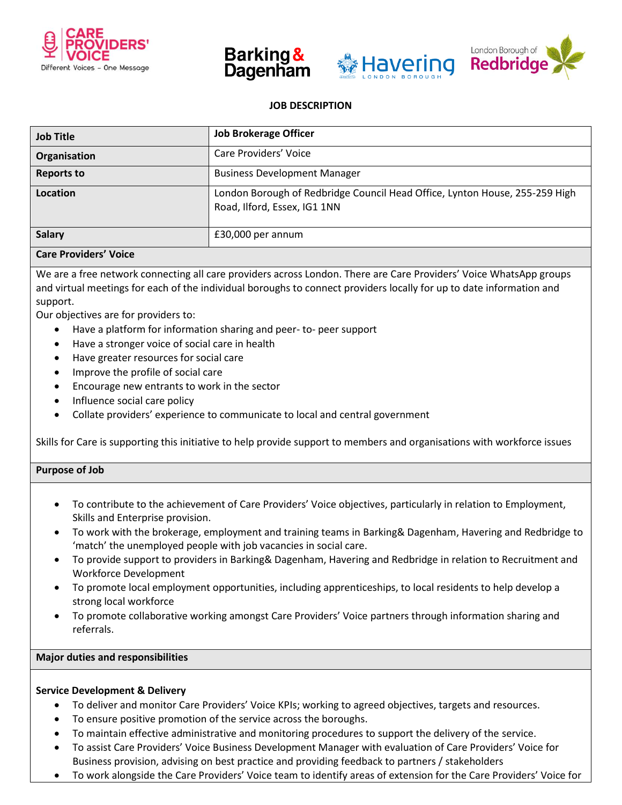







# **JOB DESCRIPTION**

| <b>Job Title</b>  | <b>Job Brokerage Officer</b>                                                                                |
|-------------------|-------------------------------------------------------------------------------------------------------------|
| Organisation      | Care Providers' Voice                                                                                       |
| <b>Reports to</b> | <b>Business Development Manager</b>                                                                         |
| Location          | London Borough of Redbridge Council Head Office, Lynton House, 255-259 High<br>Road, Ilford, Essex, IG1 1NN |
| <b>Salary</b>     | £30,000 per annum                                                                                           |

## **Care Providers' Voice**

We are a free network connecting all care providers across London. There are Care Providers' Voice WhatsApp groups and virtual meetings for each of the individual boroughs to connect providers locally for up to date information and support.

Our objectives are for providers to:

- Have a platform for information sharing and peer- to- peer support
- Have a stronger voice of social care in health
- Have greater resources for social care
- Improve the profile of social care
- Encourage new entrants to work in the sector
- Influence social care policy
- Collate providers' experience to communicate to local and central government

Skills for Care is supporting this initiative to help provide support to members and organisations with workforce issues

#### **Purpose of Job**

- To contribute to the achievement of Care Providers' Voice objectives, particularly in relation to Employment, Skills and Enterprise provision.
- To work with the brokerage, employment and training teams in Barking& Dagenham, Havering and Redbridge to 'match' the unemployed people with job vacancies in social care.
- To provide support to providers in Barking& Dagenham, Havering and Redbridge in relation to Recruitment and Workforce Development
- To promote local employment opportunities, including apprenticeships, to local residents to help develop a strong local workforce
- To promote collaborative working amongst Care Providers' Voice partners through information sharing and referrals.

#### **Major duties and responsibilities**

#### **Service Development & Delivery**

- To deliver and monitor Care Providers' Voice KPIs; working to agreed objectives, targets and resources.
- To ensure positive promotion of the service across the boroughs.
- To maintain effective administrative and monitoring procedures to support the delivery of the service.
- To assist Care Providers' Voice Business Development Manager with evaluation of Care Providers' Voice for Business provision, advising on best practice and providing feedback to partners / stakeholders
- To work alongside the Care Providers' Voice team to identify areas of extension for the Care Providers' Voice for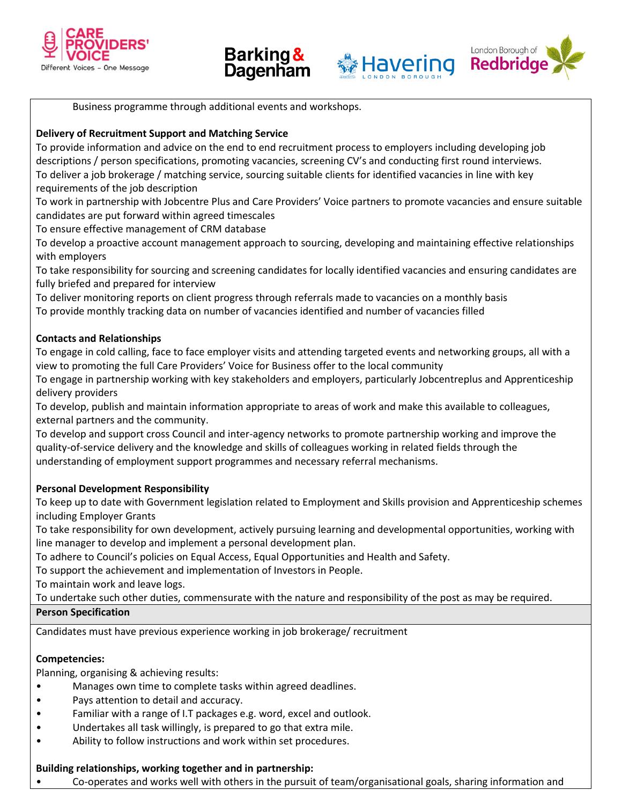







Business programme through additional events and workshops.

# **Delivery of Recruitment Support and Matching Service**

To provide information and advice on the end to end recruitment process to employers including developing job descriptions / person specifications, promoting vacancies, screening CV's and conducting first round interviews. To deliver a job brokerage / matching service, sourcing suitable clients for identified vacancies in line with key requirements of the job description

To work in partnership with Jobcentre Plus and Care Providers' Voice partners to promote vacancies and ensure suitable candidates are put forward within agreed timescales

To ensure effective management of CRM database

To develop a proactive account management approach to sourcing, developing and maintaining effective relationships with employers

To take responsibility for sourcing and screening candidates for locally identified vacancies and ensuring candidates are fully briefed and prepared for interview

To deliver monitoring reports on client progress through referrals made to vacancies on a monthly basis To provide monthly tracking data on number of vacancies identified and number of vacancies filled

# **Contacts and Relationships**

To engage in cold calling, face to face employer visits and attending targeted events and networking groups, all with a view to promoting the full Care Providers' Voice for Business offer to the local community

To engage in partnership working with key stakeholders and employers, particularly Jobcentreplus and Apprenticeship delivery providers

To develop, publish and maintain information appropriate to areas of work and make this available to colleagues, external partners and the community.

To develop and support cross Council and inter-agency networks to promote partnership working and improve the quality-of-service delivery and the knowledge and skills of colleagues working in related fields through the understanding of employment support programmes and necessary referral mechanisms.

# **Personal Development Responsibility**

To keep up to date with Government legislation related to Employment and Skills provision and Apprenticeship schemes including Employer Grants

To take responsibility for own development, actively pursuing learning and developmental opportunities, working with line manager to develop and implement a personal development plan.

To adhere to Council's policies on Equal Access, Equal Opportunities and Health and Safety.

To support the achievement and implementation of Investors in People.

To maintain work and leave logs.

To undertake such other duties, commensurate with the nature and responsibility of the post as may be required. **Person Specification**

Candidates must have previous experience working in job brokerage/ recruitment

# **Competencies:**

Planning, organising & achieving results:

- Manages own time to complete tasks within agreed deadlines.
- Pays attention to detail and accuracy.
- Familiar with a range of I.T packages e.g. word, excel and outlook.
- Undertakes all task willingly, is prepared to go that extra mile.
- Ability to follow instructions and work within set procedures.

#### **Building relationships, working together and in partnership:**

• Co-operates and works well with others in the pursuit of team/organisational goals, sharing information and